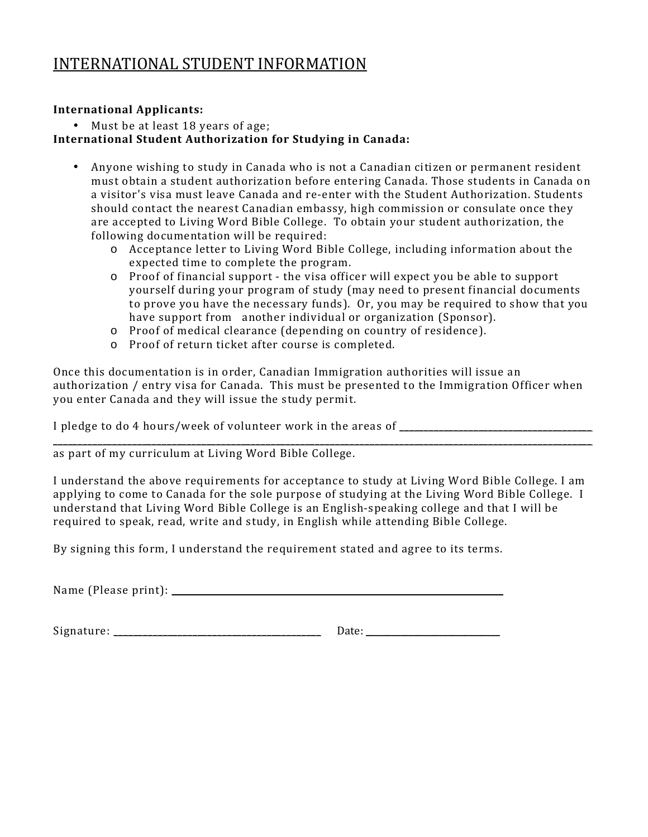## INTERNATIONAL STUDENT INFORMATION

## **International Applicants:**

• Must be at least 18 years of age;

## **International Student Authorization for Studying in Canada:**

- Anyone wishing to study in Canada who is not a Canadian citizen or permanent resident must obtain a student authorization before entering Canada. Those students in Canada on a visitor's visa must leave Canada and re-enter with the Student Authorization. Students should contact the nearest Canadian embassy, high commission or consulate once they are accepted to Living Word Bible College. To obtain your student authorization, the following documentation will be required:
	- o Acceptance letter to Living Word Bible College, including information about the expected time to complete the program.
	- o Proof of financial support the visa officer will expect you be able to support yourself during your program of study (may need to present financial documents to prove you have the necessary funds). Or, you may be required to show that you have support from another individual or organization (Sponsor).
	- o Proof of medical clearance (depending on country of residence).
	- o Proof of return ticket after course is completed.

Once this documentation is in order, Canadian Immigration authorities will issue an authorization / entry visa for Canada. This must be presented to the Immigration Officer when you enter Canada and they will issue the study permit.

I pledge to do 4 hours/week of volunteer work in the areas of \_\_\_\_\_\_\_\_\_\_\_\_\_\_\_\_\_\_\_\_\_\_\_\_\_\_\_\_\_\_\_\_\_\_\_\_\_\_\_

\_\_\_\_\_\_\_\_\_\_\_\_\_\_\_\_\_\_\_\_\_\_\_\_\_\_\_\_\_\_\_\_\_\_\_\_\_\_\_\_\_\_\_\_\_\_\_\_\_\_\_\_\_\_\_\_\_\_\_\_\_\_\_\_\_\_\_\_\_\_\_\_\_\_\_\_\_\_\_\_\_\_\_\_\_\_\_\_\_\_\_\_\_\_\_\_\_\_\_\_\_\_\_\_\_\_\_\_\_ as part of my curriculum at Living Word Bible College.

I understand the above requirements for acceptance to study at Living Word Bible College. I am applying to come to Canada for the sole purpose of studying at the Living Word Bible College. I understand that Living Word Bible College is an English-speaking college and that I will be required to speak, read, write and study, in English while attending Bible College.

By signing this form, I understand the requirement stated and agree to its terms.

Name (Please print): \_\_\_\_\_\_\_\_\_\_\_\_\_\_\_\_\_\_\_\_\_\_\_\_\_\_\_\_\_\_\_\_\_\_\_\_\_\_\_\_\_\_\_\_\_\_\_\_\_\_\_\_\_\_\_\_\_\_\_\_\_\_\_\_\_\_\_

Signature: \_\_\_\_\_\_\_\_\_\_\_\_\_\_\_\_\_\_\_\_\_\_\_\_\_\_\_\_\_\_\_\_\_\_\_\_\_\_\_\_\_\_ Date: \_\_\_\_\_\_\_\_\_\_\_\_\_\_\_\_\_\_\_\_\_\_\_\_\_\_\_\_\_\_\_